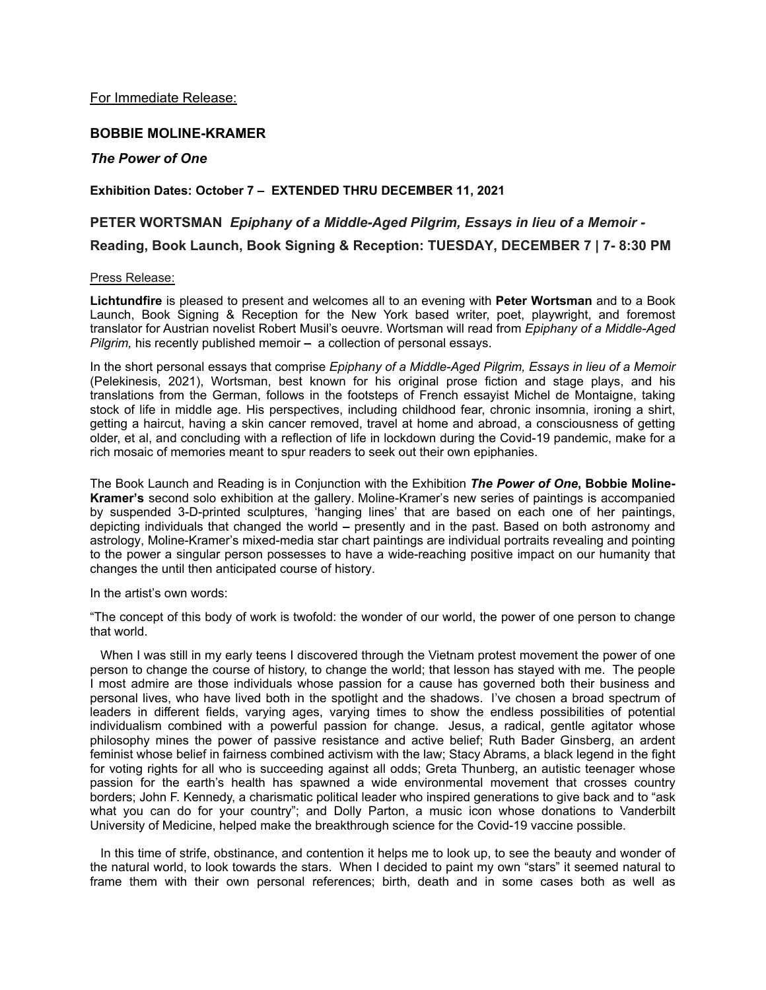For Immediate Release:

# **BOBBIE MOLINE-KRAMER**

## *The Power of One*

## **Exhibition Dates: October 7 – EXTENDED THRU DECEMBER 11, 2021**

# **PETER WORTSMAN** *Epiphany of a Middle-Aged Pilgrim, Essays in lieu of a Memoir -*  **Reading, Book Launch, Book Signing & Reception: TUESDAY, DECEMBER 7 | 7- 8:30 PM**

#### Press Release:

**Lichtundfire** is pleased to present and welcomes all to an evening with **Peter Wortsman** and to a Book Launch, Book Signing & Reception for the New York based writer, poet, playwright, and foremost translator for Austrian novelist Robert Musil's oeuvre. Wortsman will read from *Epiphany of a Middle-Aged Pilgrim,* his recently published memoir **–** a collection of personal essays.

In the short personal essays that comprise *Epiphany of a Middle-Aged Pilgrim, Essays in lieu of a Memoir* (Pelekinesis, 2021), Wortsman, best known for his original prose fiction and stage plays, and his translations from the German, follows in the footsteps of French essayist Michel de Montaigne, taking stock of life in middle age. His perspectives, including childhood fear, chronic insomnia, ironing a shirt, getting a haircut, having a skin cancer removed, travel at home and abroad, a consciousness of getting older, et al, and concluding with a reflection of life in lockdown during the Covid-19 pandemic, make for a rich mosaic of memories meant to spur readers to seek out their own epiphanies.

The Book Launch and Reading is in Conjunction with the Exhibition *The Power of One***, Bobbie Moline-Kramer's** second solo exhibition at the gallery. Moline-Kramer's new series of paintings is accompanied by suspended 3-D-printed sculptures, 'hanging lines' that are based on each one of her paintings, depicting individuals that changed the world **–** presently and in the past. Based on both astronomy and astrology, Moline-Kramer's mixed-media star chart paintings are individual portraits revealing and pointing to the power a singular person possesses to have a wide-reaching positive impact on our humanity that changes the until then anticipated course of history.

In the artist's own words:

"The concept of this body of work is twofold: the wonder of our world, the power of one person to change that world.

When I was still in my early teens I discovered through the Vietnam protest movement the power of one person to change the course of history, to change the world; that lesson has stayed with me. The people I most admire are those individuals whose passion for a cause has governed both their business and personal lives, who have lived both in the spotlight and the shadows. I've chosen a broad spectrum of leaders in different fields, varying ages, varying times to show the endless possibilities of potential individualism combined with a powerful passion for change. Jesus, a radical, gentle agitator whose philosophy mines the power of passive resistance and active belief; Ruth Bader Ginsberg, an ardent feminist whose belief in fairness combined activism with the law; Stacy Abrams, a black legend in the fight for voting rights for all who is succeeding against all odds; Greta Thunberg, an autistic teenager whose passion for the earth's health has spawned a wide environmental movement that crosses country borders; John F. Kennedy, a charismatic political leader who inspired generations to give back and to "ask what you can do for your country"; and Dolly Parton, a music icon whose donations to Vanderbilt University of Medicine, helped make the breakthrough science for the Covid-19 vaccine possible.

 In this time of strife, obstinance, and contention it helps me to look up, to see the beauty and wonder of the natural world, to look towards the stars. When I decided to paint my own "stars" it seemed natural to frame them with their own personal references; birth, death and in some cases both as well as